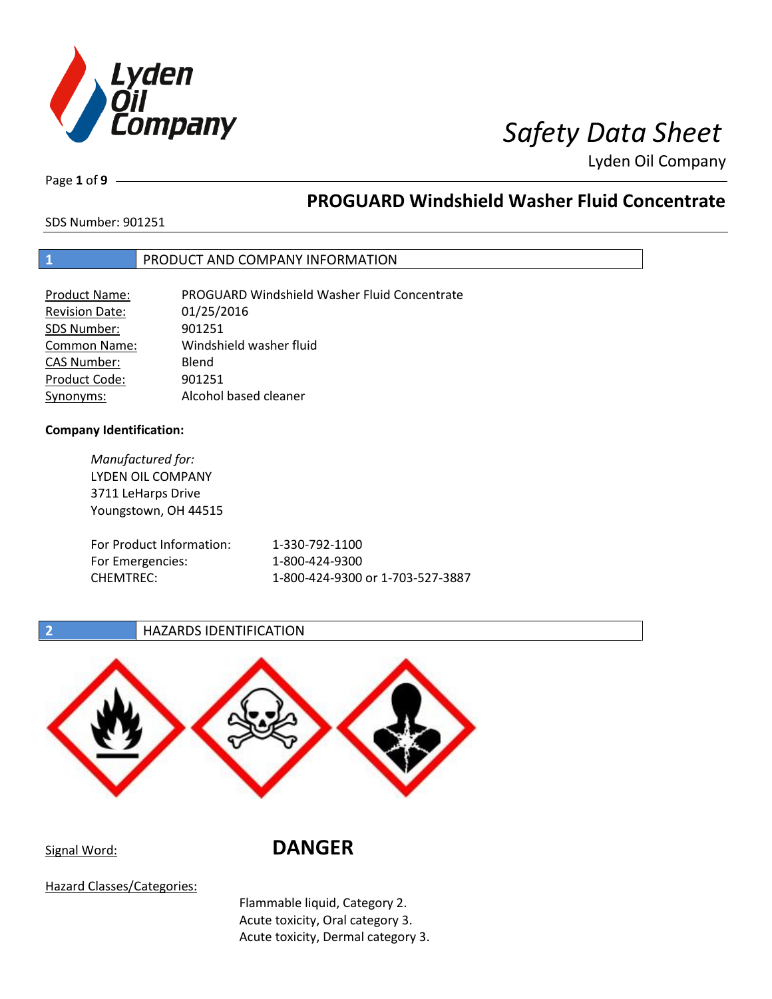

# *I<br>Impany Safety Data Sheet*

Lyden Oil Company

Page **1** of **9**

# **PROGUARD Windshield Washer Fluid Concentrate**

SDS Number: 901251

# **1** PRODUCT AND COMPANY INFORMATION

| Product Name:         | <b>PROGUARD Windshield Washer Fluid Concentrate</b> |
|-----------------------|-----------------------------------------------------|
| <b>Revision Date:</b> | 01/25/2016                                          |
| SDS Number:           | 901251                                              |
| <b>Common Name:</b>   | Windshield washer fluid                             |
| CAS Number:           | Blend                                               |
| Product Code:         | 901251                                              |
| Synonyms:             | Alcohol based cleaner                               |

## **Company Identification:**

CHEMTREC:

*Manufactured for:* LYDEN OIL COMPANY 3711 LeHarps Drive Youngstown, OH 44515 For Product Informat For Emergencies:

| ation: | 1-330-792-1100                   |
|--------|----------------------------------|
|        | 1-800-424-9300                   |
|        | 1-800-424-9300 or 1-703-527-3887 |

# **2 HAZARDS IDENTIFICATION**



# Signal Word: **DANGER**

Hazard Classes/Categories:

Flammable liquid, Category 2. Acute toxicity, Oral category 3. Acute toxicity, Dermal category 3.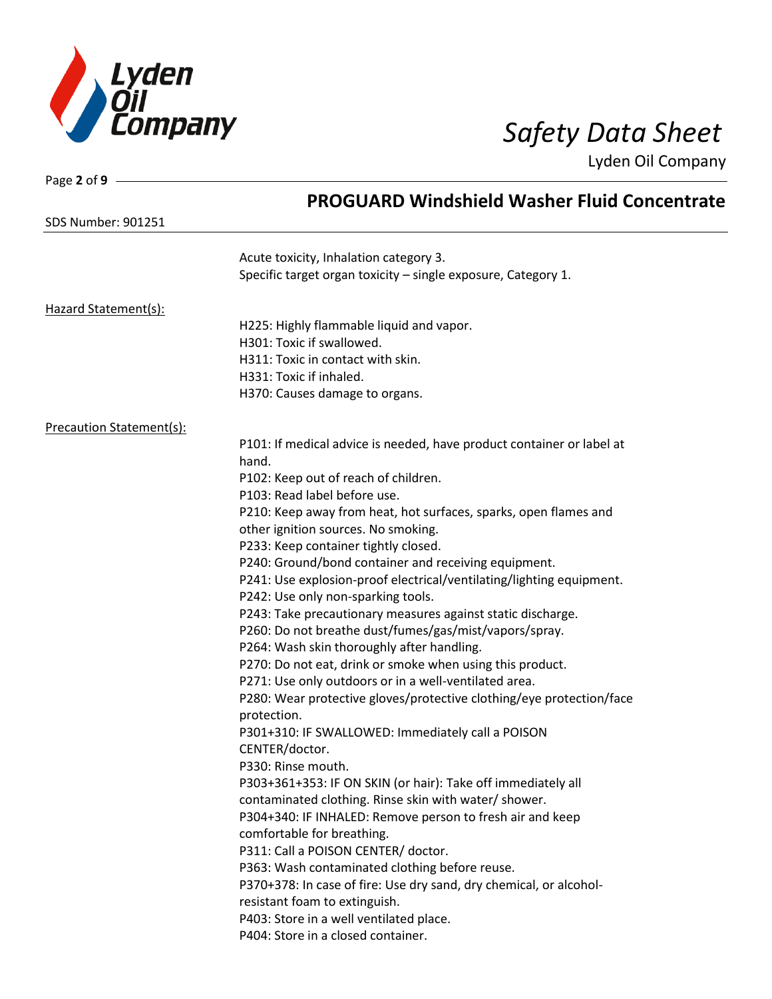

| Page 2 of 9                     |                                                                                |
|---------------------------------|--------------------------------------------------------------------------------|
|                                 | <b>PROGUARD Windshield Washer Fluid Concentrate</b>                            |
| <b>SDS Number: 901251</b>       |                                                                                |
|                                 | Acute toxicity, Inhalation category 3.                                         |
|                                 | Specific target organ toxicity - single exposure, Category 1.                  |
| Hazard Statement(s):            |                                                                                |
|                                 | H225: Highly flammable liquid and vapor.                                       |
|                                 | H301: Toxic if swallowed.                                                      |
|                                 | H311: Toxic in contact with skin.                                              |
|                                 | H331: Toxic if inhaled.                                                        |
|                                 | H370: Causes damage to organs.                                                 |
| <b>Precaution Statement(s):</b> |                                                                                |
|                                 | P101: If medical advice is needed, have product container or label at<br>hand. |
|                                 | P102: Keep out of reach of children.                                           |
|                                 | P103: Read label before use.                                                   |
|                                 | P210: Keep away from heat, hot surfaces, sparks, open flames and               |
|                                 | other ignition sources. No smoking.                                            |
|                                 | P233: Keep container tightly closed.                                           |
|                                 | P240: Ground/bond container and receiving equipment.                           |
|                                 | P241: Use explosion-proof electrical/ventilating/lighting equipment.           |
|                                 | P242: Use only non-sparking tools.                                             |
|                                 | P243: Take precautionary measures against static discharge.                    |
|                                 | P260: Do not breathe dust/fumes/gas/mist/vapors/spray.                         |
|                                 | P264: Wash skin thoroughly after handling.                                     |
|                                 | P270: Do not eat, drink or smoke when using this product.                      |
|                                 | P271: Use only outdoors or in a well-ventilated area.                          |
|                                 | P280: Wear protective gloves/protective clothing/eye protection/face           |
|                                 | protection.                                                                    |
|                                 | P301+310: IF SWALLOWED: Immediately call a POISON                              |
|                                 | CENTER/doctor.                                                                 |
|                                 | P330: Rinse mouth.                                                             |
|                                 | P303+361+353: IF ON SKIN (or hair): Take off immediately all                   |
|                                 | contaminated clothing. Rinse skin with water/ shower.                          |
|                                 | P304+340: IF INHALED: Remove person to fresh air and keep                      |
|                                 | comfortable for breathing.                                                     |
|                                 | P311: Call a POISON CENTER/ doctor.                                            |
|                                 | P363: Wash contaminated clothing before reuse.                                 |
|                                 | P370+378: In case of fire: Use dry sand, dry chemical, or alcohol-             |
|                                 | resistant foam to extinguish.                                                  |
|                                 | P403: Store in a well ventilated place.                                        |
|                                 | P404: Store in a closed container.                                             |
|                                 |                                                                                |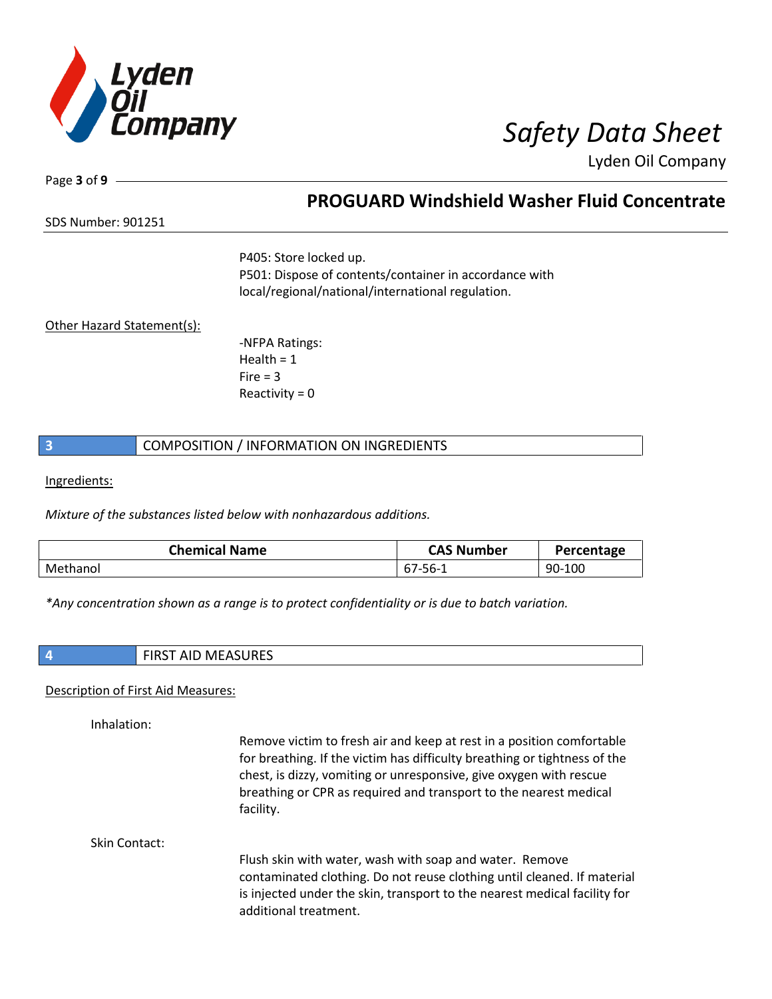

Page **3** of **9**

# **PROGUARD Windshield Washer Fluid Concentrate**

SDS Number: 901251

P405: Store locked up. P501: Dispose of contents/container in accordance with local/regional/national/international regulation.

## Other Hazard Statement(s):

-NFPA Ratings: Health  $= 1$  $Fire = 3$ Reactivity  $= 0$ 

## **3 COMPOSITION** / INFORMATION ON INGREDIENTS

Ingredients:

*Mixture of the substances listed below with nonhazardous additions.*

| <b>Chemical Name</b> | <b>CAS Number</b> | Percentage |
|----------------------|-------------------|------------|
| Methanol             | 7-56-             | 90-100     |

*\*Any concentration shown as a range is to protect confidentiality or is due to batch variation.*

**4** FIRST AID MEASURES

### Description of First Aid Measures:

Inhalation:

Remove victim to fresh air and keep at rest in a position comfortable for breathing. If the victim has difficulty breathing or tightness of the chest, is dizzy, vomiting or unresponsive, give oxygen with rescue breathing or CPR as required and transport to the nearest medical facility.

Skin Contact:

Flush skin with water, wash with soap and water. Remove contaminated clothing. Do not reuse clothing until cleaned. If material is injected under the skin, transport to the nearest medical facility for additional treatment.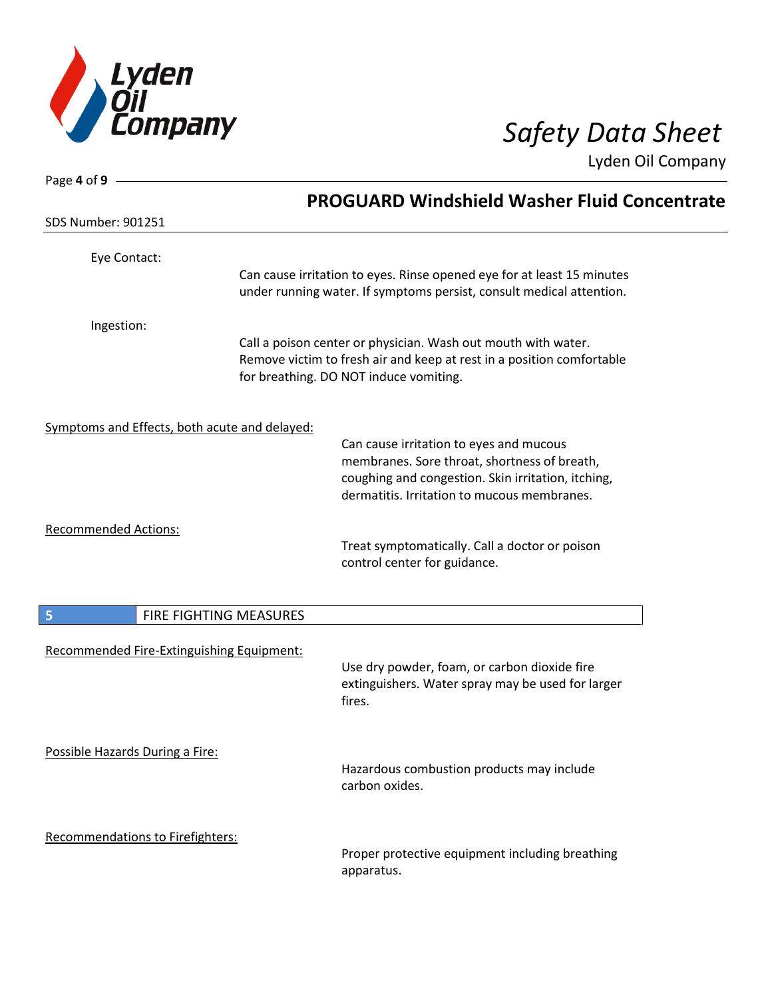

Page **4** of **9**

Lyden Oil Company

| <b>SDS Number: 901251</b>                     | <b>PROGUARD Windshield Washer Fluid Concentrate</b>                                                                                                                                          |
|-----------------------------------------------|----------------------------------------------------------------------------------------------------------------------------------------------------------------------------------------------|
| Eye Contact:                                  | Can cause irritation to eyes. Rinse opened eye for at least 15 minutes<br>under running water. If symptoms persist, consult medical attention.                                               |
| Ingestion:                                    | Call a poison center or physician. Wash out mouth with water.<br>Remove victim to fresh air and keep at rest in a position comfortable<br>for breathing. DO NOT induce vomiting.             |
| Symptoms and Effects, both acute and delayed: | Can cause irritation to eyes and mucous<br>membranes. Sore throat, shortness of breath,<br>coughing and congestion. Skin irritation, itching,<br>dermatitis. Irritation to mucous membranes. |
| <b>Recommended Actions:</b>                   | Treat symptomatically. Call a doctor or poison<br>control center for guidance.                                                                                                               |
| 5                                             | FIRE FIGHTING MEASURES                                                                                                                                                                       |
| Recommended Fire-Extinguishing Equipment:     | Use dry powder, foam, or carbon dioxide fire<br>extinguishers. Water spray may be used for larger<br>fires.                                                                                  |
| Possible Hazards During a Fire:               | Hazardous combustion products may include<br>carbon oxides.                                                                                                                                  |
| Recommendations to Firefighters:              | Proper protective equipment including breathing<br>apparatus.                                                                                                                                |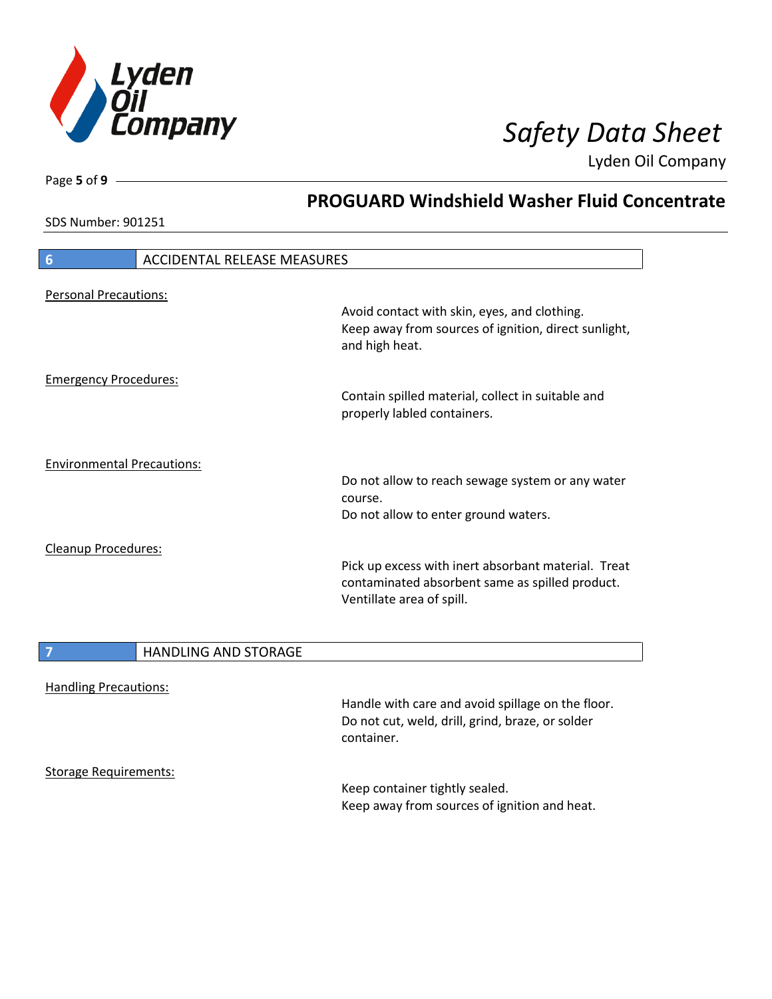

**PROGUARD Windshield Washer Fluid Concentrate**

Lyden Oil Company

SDS Number: 901251

Page **5** of **9**

| $6\phantom{1}6$                   | <b>ACCIDENTAL RELEASE MEASURES</b> |                                                                        |
|-----------------------------------|------------------------------------|------------------------------------------------------------------------|
|                                   |                                    |                                                                        |
| <b>Personal Precautions:</b>      |                                    |                                                                        |
|                                   |                                    | Avoid contact with skin, eyes, and clothing.                           |
|                                   |                                    | Keep away from sources of ignition, direct sunlight,<br>and high heat. |
| <b>Emergency Procedures:</b>      |                                    |                                                                        |
|                                   |                                    | Contain spilled material, collect in suitable and                      |
|                                   |                                    | properly labled containers.                                            |
| <b>Environmental Precautions:</b> |                                    |                                                                        |
|                                   |                                    | Do not allow to reach sewage system or any water                       |
|                                   |                                    | course.                                                                |
|                                   |                                    | Do not allow to enter ground waters.                                   |
| <b>Cleanup Procedures:</b>        |                                    |                                                                        |
|                                   |                                    | Pick up excess with inert absorbant material. Treat                    |
|                                   |                                    | contaminated absorbent same as spilled product.                        |
|                                   |                                    | Ventillate area of spill.                                              |
|                                   | <b>HANDLING AND STORAGE</b>        |                                                                        |
|                                   |                                    |                                                                        |
| <b>Handling Precautions:</b>      |                                    |                                                                        |
|                                   |                                    | Handle with care and avoid spillage on the floor.                      |
|                                   |                                    | Do not cut, weld, drill, grind, braze, or solder                       |
|                                   |                                    | container.                                                             |

Storage Requirements:

 $\overline{\phantom{a}}$ 

Keep container tightly sealed. Keep away from sources of ignition and heat.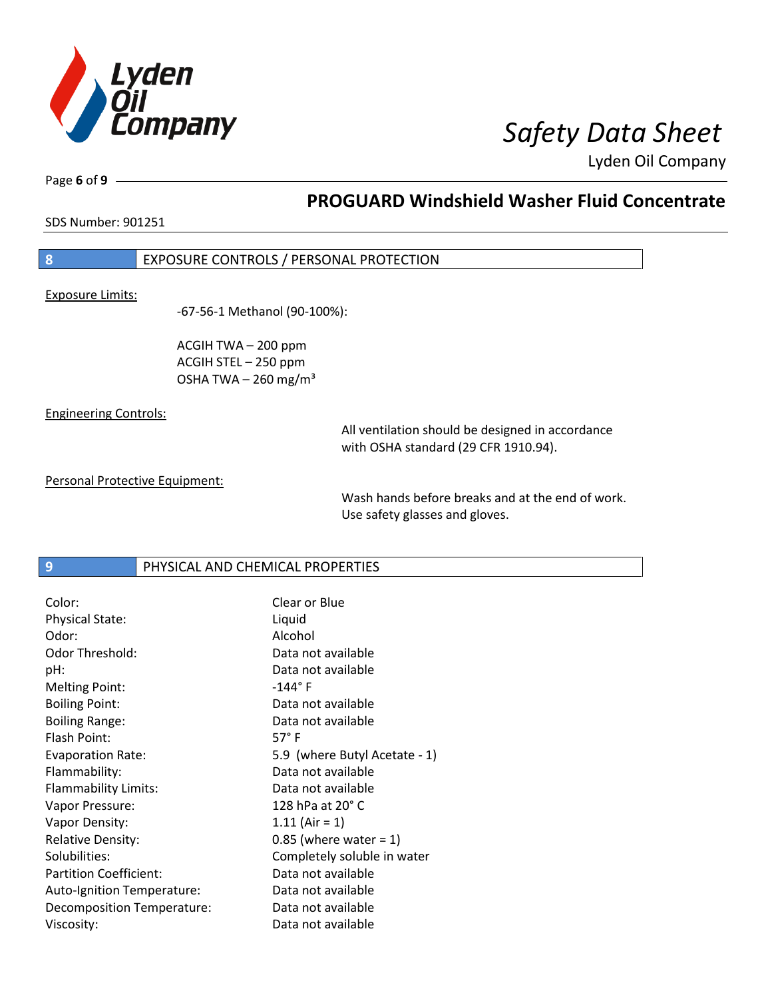

Page **6** of **9**

# **PROGUARD Windshield Washer Fluid Concentrate**

SDS Number: 901251

# **8** EXPOSURE CONTROLS / PERSONAL PROTECTION

Exposure Limits:

-67-56-1 Methanol (90-100%):

ACGIH TWA – 200 ppm ACGIH STEL – 250 ppm OSHA TWA  $-$  260 mg/m<sup>3</sup>

Engineering Controls:

All ventilation should be designed in accordance with OSHA standard (29 CFR 1910.94).

Personal Protective Equipment:

Wash hands before breaks and at the end of work. Use safety glasses and gloves.

**9 PHYSICAL AND CHEMICAL PROPERTIES** 

| Color:                        | Clear or Blue                 |
|-------------------------------|-------------------------------|
| <b>Physical State:</b>        | Liquid                        |
| Odor:                         | Alcohol                       |
| Odor Threshold:               | Data not available            |
| pH:                           | Data not available            |
| <b>Melting Point:</b>         | $-144^{\circ}$ F              |
| <b>Boiling Point:</b>         | Data not available            |
| <b>Boiling Range:</b>         | Data not available            |
| Flash Point:                  | $57^{\circ}$ F                |
| <b>Evaporation Rate:</b>      | 5.9 (where Butyl Acetate - 1) |
| Flammability:                 | Data not available            |
| Flammability Limits:          | Data not available            |
| Vapor Pressure:               | 128 hPa at 20° C              |
| Vapor Density:                | $1.11 (Air = 1)$              |
| <b>Relative Density:</b>      | $0.85$ (where water = 1)      |
| Solubilities:                 | Completely soluble in water   |
| <b>Partition Coefficient:</b> | Data not available            |
| Auto-Ignition Temperature:    | Data not available            |
| Decomposition Temperature:    | Data not available            |
| Viscosity:                    | Data not available            |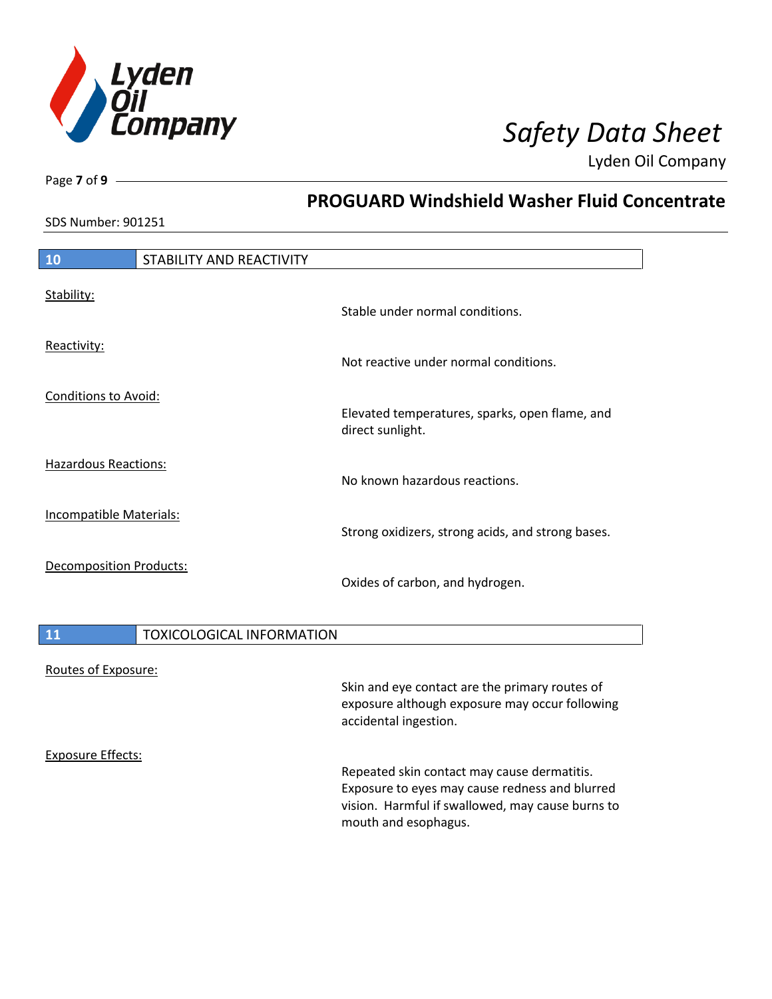

**PROGUARD Windshield Washer Fluid Concentrate**

Lyden Oil Company

SDS Number: 901251

Page **7** of **9**

| STABILITY AND REACTIVITY |                                                                                                                  |
|--------------------------|------------------------------------------------------------------------------------------------------------------|
|                          | Stable under normal conditions.                                                                                  |
|                          | Not reactive under normal conditions.                                                                            |
|                          | Elevated temperatures, sparks, open flame, and<br>direct sunlight.                                               |
|                          | No known hazardous reactions.                                                                                    |
|                          | Strong oxidizers, strong acids, and strong bases.                                                                |
|                          | Oxides of carbon, and hydrogen.                                                                                  |
|                          | <b>Conditions to Avoid:</b><br><b>Hazardous Reactions:</b><br>Incompatible Materials:<br>Decomposition Products: |

|  | <b>TOXICOLOGICAL INFORMATION</b> |
|--|----------------------------------|
|--|----------------------------------|

### Routes of Exposure:

Skin and eye contact are the primary routes of exposure although exposure may occur following accidental ingestion.

Exposure Effects:

Repeated skin contact may cause dermatitis. Exposure to eyes may cause redness and blurred vision. Harmful if swallowed, may cause burns to mouth and esophagus.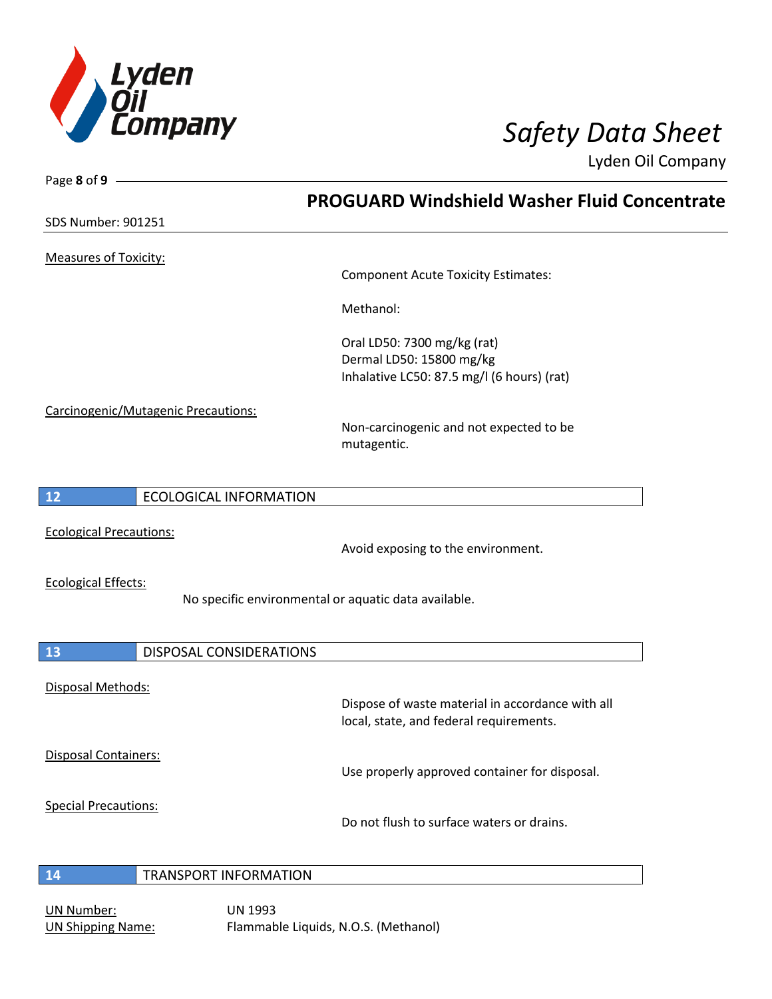

Page **8** of **9**

Lyden Oil Company

**PROGUARD Windshield Washer Fluid Concentrate** SDS Number: 901251 Measures of Toxicity: Component Acute Toxicity Estimates: Methanol: Oral LD50: 7300 mg/kg (rat) Dermal LD50: 15800 mg/kg Inhalative LC50: 87.5 mg/l (6 hours) (rat) Carcinogenic/Mutagenic Precautions: Non-carcinogenic and not expected to be mutagentic. **12** ECOLOGICAL INFORMATION Ecological Precautions: Avoid exposing to the environment. Ecological Effects: No specific environmental or aquatic data available. **13** DISPOSAL CONSIDERATIONS Disposal Methods: Dispose of waste material in accordance with all local, state, and federal requirements. Disposal Containers: Use properly approved container for disposal. Special Precautions: Do not flush to surface waters or drains. **14** TRANSPORT INFORMATION

UN Number: UN 1993

UN Shipping Name: Flammable Liquids, N.O.S. (Methanol)